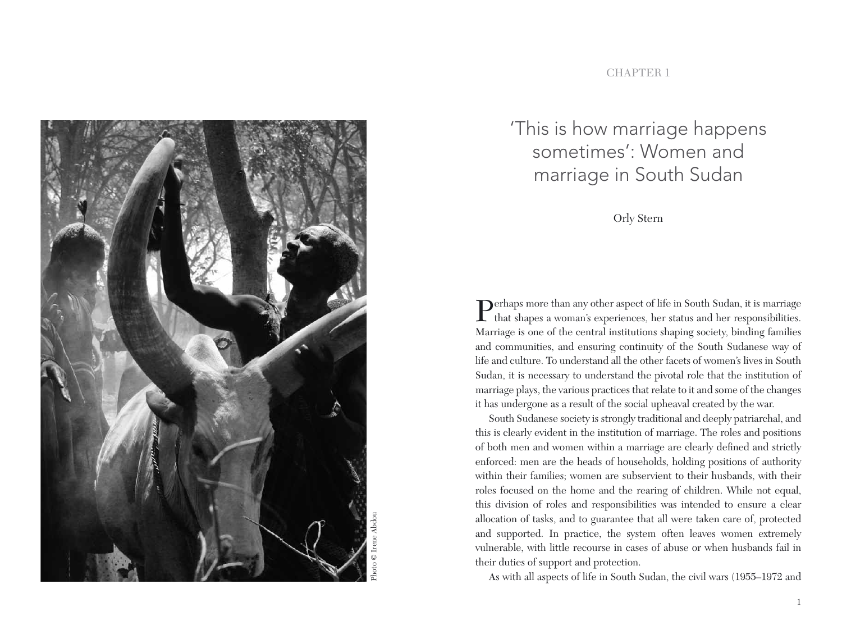

#### **CHAPTER 1**

# 'This is how marriage happens sometimes': Women and marriage in South Sudan

Orly Stern

Perhaps more than any other aspect of life in South Sudan, it is marriage that shapes a woman's experiences, her status and her responsibilities. Marriage is one of the central institutions shaping society, binding families and communities, and ensuring continuity of the South Sudanese way of life and culture. To understand all the other facets of women's lives in South Sudan, it is necessary to understand the pivotal role that the institution of marriage plays, the various practices that relate to it and some of the changes it has undergone as a result of the social upheaval created by the war.

South Sudanese society is strongly traditional and deeply patriarchal, and this is clearly evident in the institution of marriage. The roles and positions of both men and women within a marriage are clearly defined and strictly enforced: men are the heads of households, holding positions of authority within their families; women are subservient to their husbands, with their roles focused on the home and the rearing of children. While not equal, this division of roles and responsibilities was intended to ensure a clear allocation of tasks, and to guarantee that all were taken care of, protected and supported. In practice, the system often leaves women extremely vulnerable, with little recourse in cases of abuse or when husbands fail in their duties of support and protection.

As with all aspects of life in South Sudan, the civil wars (1955–1972 and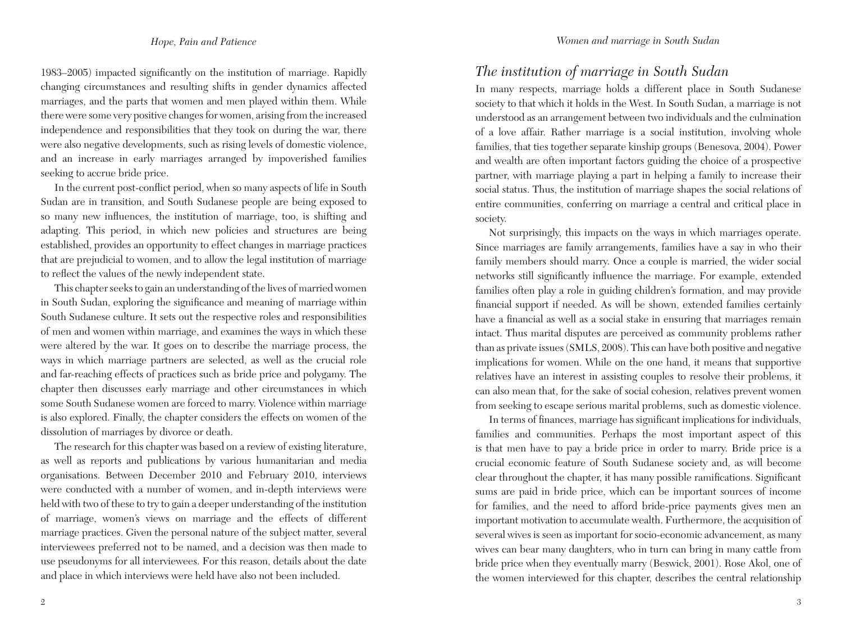1983–2005) impacted significantly on the institution of marriage. Rapidly changing circumstances and resulting shifts in gender dynamics affected marriages, and the parts that women and men played within them. While there were some very positive changes for women, arising from the increased independence and responsibilities that they took on during the war, there were also negative developments, such as rising levels of domestic violence, and an increase in early marriages arranged by impoverished families seeking to accrue bride price.

In the current post-conflict period, when so many aspects of life in South Sudan are in transition, and South Sudanese people are being exposed to so many new influences, the institution of marriage, too, is shifting and adapting. This period, in which new policies and structures are being established, provides an opportunity to effect changes in marriage practices that are prejudicial to women, and to allow the legal institution of marriage to reflect the values of the newly independent state.

This chapter seeks to gain an understanding of the lives of married women in South Sudan, exploring the significance and meaning of marriage within South Sudanese culture. It sets out the respective roles and responsibilities of men and women within marriage, and examines the ways in which these were altered by the war. It goes on to describe the marriage process, the ways in which marriage partners are selected, as well as the crucial role and far-reaching effects of practices such as bride price and polygamy. The chapter then discusses early marriage and other circumstances in which some South Sudanese women are forced to marry. Violence within marriage is also explored. Finally, the chapter considers the effects on women of the dissolution of marriages by divorce or death.

The research for this chapter was based on a review of existing literature, as well as reports and publications by various humanitarian and media organisations. Between December 2010 and February 2010, interviews were conducted with a number of women, and in-depth interviews were held with two of these to try to gain a deeper understanding of the institution of marriage, women's views on marriage and the effects of different marriage practices. Given the personal nature of the subject matter, several interviewees preferred not to be named, and a decision was then made to use pseudonyms for all interviewees. For this reason, details about the date and place in which interviews were held have also not been included.

## *The institution of marriage in South Sudan*

In many respects, marriage holds a different place in South Sudanese society to that which it holds in the West. In South Sudan, a marriage is not understood as an arrangement between two individuals and the culmination of a love affair. Rather marriage is a social institution, involving whole families, that ties together separate kinship groups (Benesova, 2004). Power and wealth are often important factors guiding the choice of a prospective partner, with marriage playing a part in helping a family to increase their social status. Thus, the institution of marriage shapes the social relations of entire communities, conferring on marriage a central and critical place in society.

Not surprisingly, this impacts on the ways in which marriages operate. Since marriages are family arrangements, families have a say in who their family members should marry. Once a couple is married, the wider social networks still significantly influence the marriage. For example, extended families often play a role in guiding children's formation, and may provide financial support if needed. As will be shown, extended families certainly have a financial as well as a social stake in ensuring that marriages remain intact. Thus marital disputes are perceived as community problems rather than as private issues (SMLS, 2008). This can have both positive and negative implications for women. While on the one hand, it means that supportive relatives have an interest in assisting couples to resolve their problems, it can also mean that, for the sake of social cohesion, relatives prevent women from seeking to escape serious marital problems, such as domestic violence.

In terms of finances, marriage has significant implications for individuals, families and communities. Perhaps the most important aspect of this is that men have to pay a bride price in order to marry. Bride price is a crucial economic feature of South Sudanese society and, as will become clear throughout the chapter, it has many possible ramifications. Significant sums are paid in bride price, which can be important sources of income for families, and the need to afford bride-price payments gives men an important motivation to accumulate wealth. Furthermore, the acquisition of several wives is seen as important for socio-economic advancement, as many wives can bear many daughters, who in turn can bring in many cattle from bride price when they eventually marry (Beswick, 2001). Rose Akol, one of the women interviewed for this chapter, describes the central relationship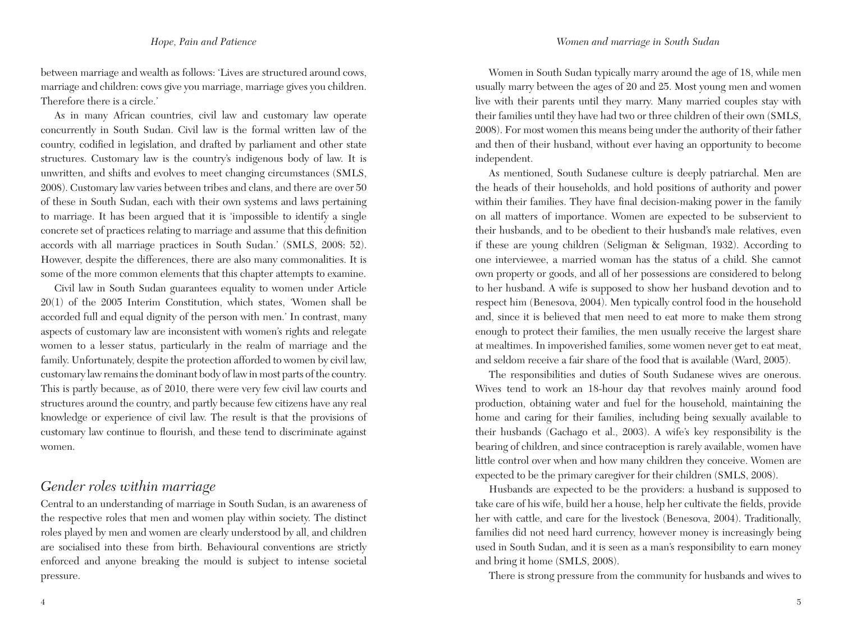between marriage and wealth as follows: 'Lives are structured around cows, marriage and children: cows give you marriage, marriage gives you children. Therefore there is a circle.'

As in many African countries, civil law and customary law operate concurrently in South Sudan. Civil law is the formal written law of the country, codified in legislation, and drafted by parliament and other state structures. Customary law is the country's indigenous body of law. It is unwritten, and shifts and evolves to meet changing circumstances (SMLS, 2008). Customary law varies between tribes and clans, and there are over 50 of these in South Sudan, each with their own systems and laws pertaining to marriage. It has been argued that it is 'impossible to identify a single concrete set of practices relating to marriage and assume that this definition accords with all marriage practices in South Sudan.' (SMLS, 2008: 52). However, despite the differences, there are also many commonalities. It is some of the more common elements that this chapter attempts to examine.

Civil law in South Sudan guarantees equality to women under Article 20(1) of the 2005 Interim Constitution, which states, *'*Women shall be accorded full and equal dignity of the person with men.' In contrast, many aspects of customary law are inconsistent with women's rights and relegate women to a lesser status, particularly in the realm of marriage and the family. Unfortunately, despite the protection afforded to women by civil law, customary law remains the dominant body of law in most parts of the country. This is partly because, as of 2010, there were very few civil law courts and structures around the country, and partly because few citizens have any real knowledge or experience of civil law. The result is that the provisions of customary law continue to flourish, and these tend to discriminate against women.

## *Gender roles within marriage*

Central to an understanding of marriage in South Sudan, is an awareness of the respective roles that men and women play within society. The distinct roles played by men and women are clearly understood by all, and children are socialised into these from birth. Behavioural conventions are strictly enforced and anyone breaking the mould is subject to intense societal pressure.

Women in South Sudan typically marry around the age of 18, while men usually marry between the ages of 20 and 25. Most young men and women live with their parents until they marry. Many married couples stay with their families until they have had two or three children of their own (SMLS, 2008). For most women this means being under the authority of their father and then of their husband, without ever having an opportunity to become independent.

As mentioned, South Sudanese culture is deeply patriarchal. Men are the heads of their households, and hold positions of authority and power within their families. They have final decision-making power in the family on all matters of importance. Women are expected to be subservient to their husbands, and to be obedient to their husband's male relatives, even if these are young children (Seligman & Seligman, 1932). According to one interviewee, a married woman has the status of a child. She cannot own property or goods, and all of her possessions are considered to belong to her husband. A wife is supposed to show her husband devotion and to respect him (Benesova, 2004). Men typically control food in the household and, since it is believed that men need to eat more to make them strong enough to protect their families, the men usually receive the largest share at mealtimes. In impoverished families, some women never get to eat meat, and seldom receive a fair share of the food that is available (Ward, 2005).

The responsibilities and duties of South Sudanese wives are onerous. Wives tend to work an 18-hour day that revolves mainly around food production, obtaining water and fuel for the household, maintaining the home and caring for their families, including being sexually available to their husbands (Gachago et al., 2003). A wife's key responsibility is the bearing of children, and since contraception is rarely available, women have little control over when and how many children they conceive. Women are expected to be the primary caregiver for their children (SMLS, 2008).

Husbands are expected to be the providers: a husband is supposed to take care of his wife, build her a house, help her cultivate the fields, provide her with cattle, and care for the livestock (Benesova, 2004). Traditionally, families did not need hard currency, however money is increasingly being used in South Sudan, and it is seen as a man's responsibility to earn money and bring it home (SMLS, 2008).

There is strong pressure from the community for husbands and wives to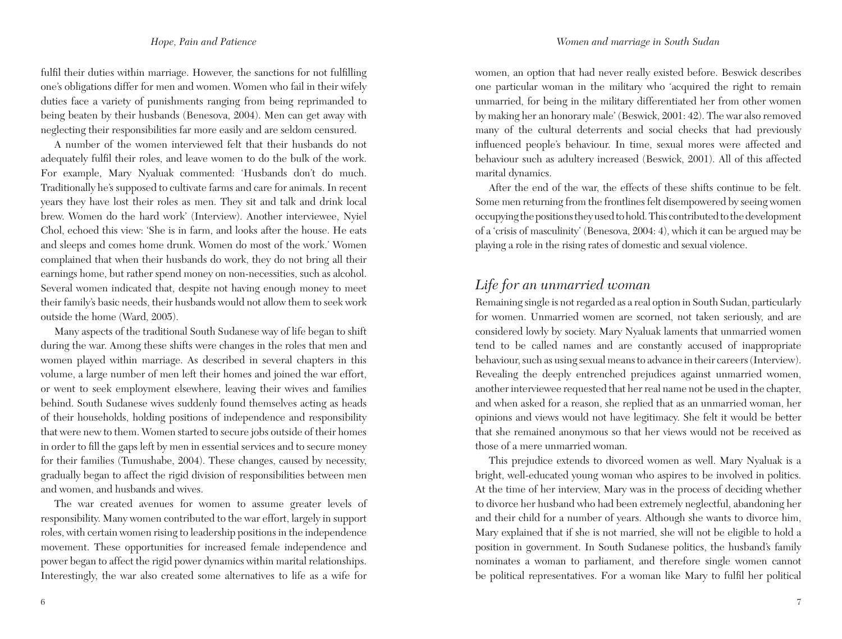#### *Hope, Pain and Patience*

fulfil their duties within marriage. However, the sanctions for not fulfilling one's obligations differ for men and women. Women who fail in their wifely duties face a variety of punishments ranging from being reprimanded to being beaten by their husbands (Benesova, 2004). Men can get away with neglecting their responsibilities far more easily and are seldom censured.

A number of the women interviewed felt that their husbands do not adequately fulfil their roles, and leave women to do the bulk of the work. For example, Mary Nyaluak commented: 'Husbands don't do much. Traditionally he's supposed to cultivate farms and care for animals. In recent years they have lost their roles as men. They sit and talk and drink local brew. Women do the hard work' (Interview). Another interviewee, Nyiel Chol, echoed this view: 'She is in farm, and looks after the house. He eats and sleeps and comes home drunk. Women do most of the work.' Women complained that when their husbands do work, they do not bring all their earnings home, but rather spend money on non-necessities, such as alcohol. Several women indicated that, despite not having enough money to meet their family's basic needs, their husbands would not allow them to seek work outside the home (Ward, 2005).

Many aspects of the traditional South Sudanese way of life began to shift during the war. Among these shifts were changes in the roles that men and women played within marriage. As described in several chapters in this volume, a large number of men left their homes and joined the war effort, or went to seek employment elsewhere, leaving their wives and families behind. South Sudanese wives suddenly found themselves acting as heads of their households, holding positions of independence and responsibility that were new to them. Women started to secure jobs outside of their homes in order to fill the gaps left by men in essential services and to secure money for their families (Tumushabe, 2004). These changes, caused by necessity, gradually began to affect the rigid division of responsibilities between men and women, and husbands and wives.

The war created avenues for women to assume greater levels of responsibility. Many women contributed to the war effort, largely in support roles, with certain women rising to leadership positions in the independence movement. These opportunities for increased female independence and power began to affect the rigid power dynamics within marital relationships. Interestingly, the war also created some alternatives to life as a wife for women, an option that had never really existed before. Beswick describes one particular woman in the military who 'acquired the right to remain unmarried, for being in the military differentiated her from other women by making her an honorary male' (Beswick, 2001: 42). The war also removed many of the cultural deterrents and social checks that had previously influenced people's behaviour. In time, sexual mores were affected and behaviour such as adultery increased (Beswick, 2001). All of this affected marital dynamics.

After the end of the war, the effects of these shifts continue to be felt. Some men returning from the frontlines felt disempowered by seeing women occupying the positions they used to hold. This contributed to the development of a 'crisis of masculinity' (Benesova, 2004: 4), which it can be argued may be playing a role in the rising rates of domestic and sexual violence.

### *Life for an unmarried woman*

Remaining single is not regarded as a real option in South Sudan, particularly for women. Unmarried women are scorned, not taken seriously, and are considered lowly by society. Mary Nyaluak laments that unmarried women tend to be called names and are constantly accused of inappropriate behaviour, such as using sexual means to advance in their careers (Interview). Revealing the deeply entrenched prejudices against unmarried women, another interviewee requested that her real name not be used in the chapter, and when asked for a reason, she replied that as an unmarried woman, her opinions and views would not have legitimacy. She felt it would be better that she remained anonymous so that her views would not be received as those of a mere unmarried woman.

This prejudice extends to divorced women as well. Mary Nyaluak is a bright, well-educated young woman who aspires to be involved in politics. At the time of her interview, Mary was in the process of deciding whether to divorce her husband who had been extremely neglectful, abandoning her and their child for a number of years. Although she wants to divorce him, Mary explained that if she is not married, she will not be eligible to hold a position in government. In South Sudanese politics, the husband's family nominates a woman to parliament, and therefore single women cannot be political representatives. For a woman like Mary to fulfil her political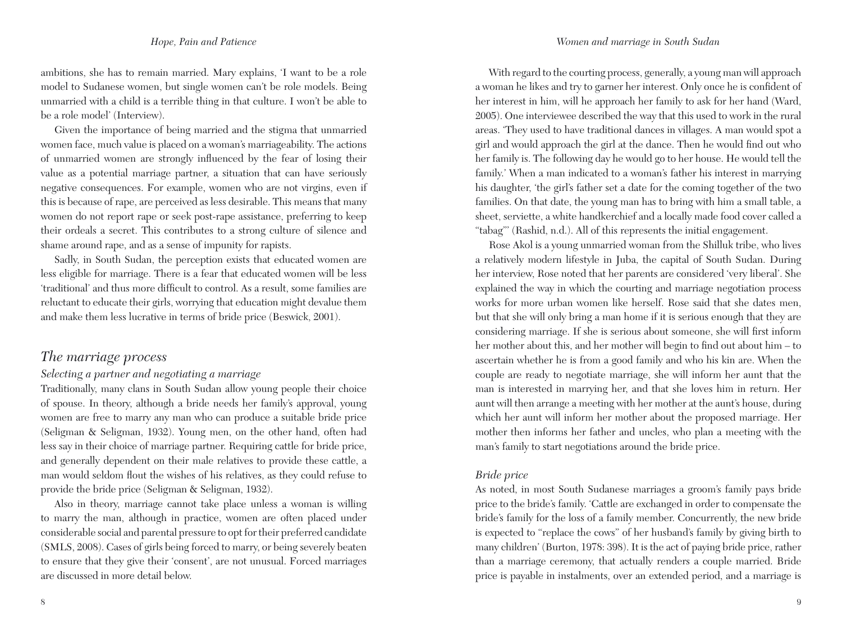#### *Women and marriage in South Sudan*

#### *Hope, Pain and Patience*

ambitions, she has to remain married. Mary explains, 'I want to be a role model to Sudanese women, but single women can't be role models. Being unmarried with a child is a terrible thing in that culture. I won't be able to be a role model' (Interview).

Given the importance of being married and the stigma that unmarried women face, much value is placed on a woman's marriageability. The actions of unmarried women are strongly influenced by the fear of losing their value as a potential marriage partner, a situation that can have seriously negative consequences. For example, women who are not virgins, even if this is because of rape, are perceived as less desirable. This means that many women do not report rape or seek post-rape assistance, preferring to keep their ordeals a secret. This contributes to a strong culture of silence and shame around rape, and as a sense of impunity for rapists.

Sadly, in South Sudan, the perception exists that educated women are less eligible for marriage. There is a fear that educated women will be less 'traditional' and thus more difficult to control. As a result, some families are reluctant to educate their girls, worrying that education might devalue them and make them less lucrative in terms of bride price (Beswick, 2001).

### *The marriage process*

### *Selecting a partner and negotiating a marriage*

Traditionally, many clans in South Sudan allow young people their choice of spouse. In theory, although a bride needs her family's approval, young women are free to marry any man who can produce a suitable bride price (Seligman & Seligman, 1932). Young men, on the other hand, often had less say in their choice of marriage partner. Requiring cattle for bride price, and generally dependent on their male relatives to provide these cattle, a man would seldom flout the wishes of his relatives, as they could refuse to provide the bride price (Seligman & Seligman, 1932).

Also in theory, marriage cannot take place unless a woman is willing to marry the man, although in practice, women are often placed under considerable social and parental pressure to opt for their preferred candidate (SMLS, 2008). Cases of girls being forced to marry, or being severely beaten to ensure that they give their 'consent', are not unusual. Forced marriages are discussed in more detail below.

With regard to the courting process, generally, a young man will approach a woman he likes and try to garner her interest. Only once he is confident of her interest in him, will he approach her family to ask for her hand (Ward, 2005). One interviewee described the way that this used to work in the rural areas. 'They used to have traditional dances in villages. A man would spot a girl and would approach the girl at the dance. Then he would find out who her family is. The following day he would go to her house. He would tell the family.' When a man indicated to a woman's father his interest in marrying his daughter, 'the girl's father set a date for the coming together of the two families. On that date, the young man has to bring with him a small table, a sheet, serviette, a white handkerchief and a locally made food cover called a "tabag"' (Rashid, n.d.). All of this represents the initial engagement.

Rose Akol is a young unmarried woman from the Shilluk tribe, who lives a relatively modern lifestyle in Juba, the capital of South Sudan. During her interview, Rose noted that her parents are considered 'very liberal'. She explained the way in which the courting and marriage negotiation process works for more urban women like herself. Rose said that she dates men, but that she will only bring a man home if it is serious enough that they are considering marriage. If she is serious about someone, she will first inform her mother about this, and her mother will begin to find out about him – to ascertain whether he is from a good family and who his kin are. When the couple are ready to negotiate marriage, she will inform her aunt that the man is interested in marrying her, and that she loves him in return. Her aunt will then arrange a meeting with her mother at the aunt's house, during which her aunt will inform her mother about the proposed marriage. Her mother then informs her father and uncles, who plan a meeting with the man's family to start negotiations around the bride price.

#### *Bride price*

As noted, in most South Sudanese marriages a groom's family pays bride price to the bride's family. 'Cattle are exchanged in order to compensate the bride's family for the loss of a family member. Concurrently, the new bride is expected to "replace the cows" of her husband's family by giving birth to many children' (Burton, 1978: 398). It is the act of paying bride price, rather than a marriage ceremony, that actually renders a couple married. Bride price is payable in instalments, over an extended period, and a marriage is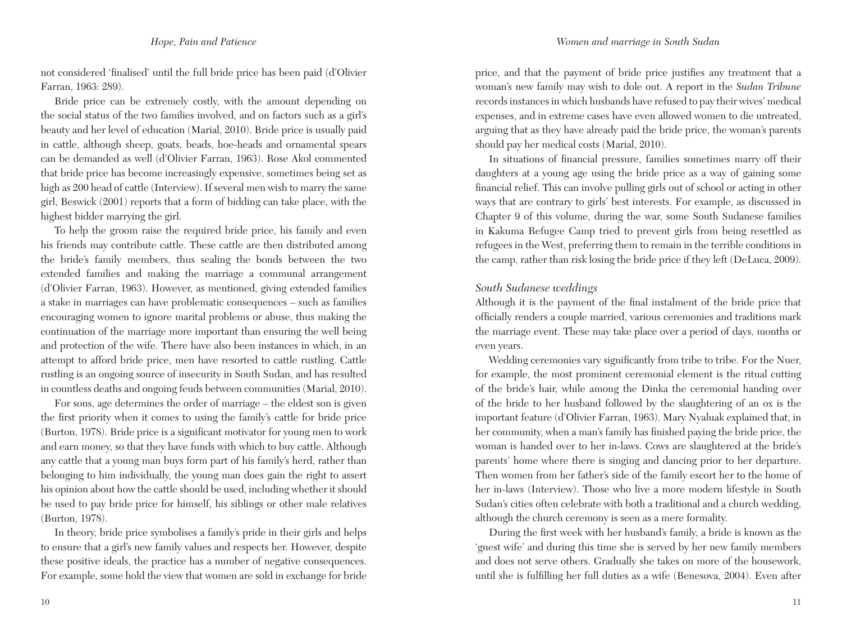not considered 'finalised' until the full bride price has been paid (d'Olivier Farran, 1963: 289).

Bride price can be extremely costly, with the amount depending on the social status of the two families involved, and on factors such as a girl's beauty and her level of education (Marial, 2010). Bride price is usually paid in cattle, although sheep, goats, beads, hoe-heads and ornamental spears can be demanded as well (d'Olivier Farran, 1963). Rose Akol commented that bride price has become increasingly expensive, sometimes being set as high as 200 head of cattle (Interview). If several men wish to marry the same girl, Beswick (2001) reports that a form of bidding can take place, with the highest bidder marrying the girl.

To help the groom raise the required bride price, his family and even his friends may contribute cattle. These cattle are then distributed among the bride's family members, thus sealing the bonds between the two extended families and making the marriage a communal arrangement (d'Olivier Farran, 1963). However, as mentioned, giving extended families a stake in marriages can have problematic consequences – such as families encouraging women to ignore marital problems or abuse, thus making the continuation of the marriage more important than ensuring the well being and protection of the wife. There have also been instances in which, in an attempt to afford bride price, men have resorted to cattle rustling. Cattle rustling is an ongoing source of insecurity in South Sudan, and has resulted in countless deaths and ongoing feuds between communities (Marial, 2010).

For sons, age determines the order of marriage – the eldest son is given the first priority when it comes to using the family's cattle for bride price (Burton, 1978). Bride price is a significant motivator for young men to work and earn money, so that they have funds with which to buy cattle. Although any cattle that a young man buys form part of his family's herd, rather than belonging to him individually, the young man does gain the right to assert his opinion about how the cattle should be used, including whether it should be used to pay bride price for himself, his siblings or other male relatives (Burton, 1978).

In theory, bride price symbolises a family's pride in their girls and helps to ensure that a girl's new family values and respects her. However, despite these positive ideals, the practice has a number of negative consequences. For example, some hold the view that women are sold in exchange for bride price, and that the payment of bride price justifies any treatment that a woman's new family may wish to dole out. A report in the *Sudan Tribune* records instances in which husbands have refused to pay their wives' medical expenses, and in extreme cases have even allowed women to die untreated, arguing that as they have already paid the bride price, the woman's parents should pay her medical costs (Marial, 2010).

In situations of financial pressure, families sometimes marry off their daughters at a young age using the bride price as a way of gaining some financial relief. This can involve pulling girls out of school or acting in other ways that are contrary to girls' best interests. For example, as discussed in Chapter 9 of this volume, during the war, some South Sudanese families in Kakuma Refugee Camp tried to prevent girls from being resettled as refugees in the West, preferring them to remain in the terrible conditions in the camp, rather than risk losing the bride price if they left (DeLuca, 2009).

#### *South Sudanese weddings*

Although it is the payment of the final instalment of the bride price that officially renders a couple married, various ceremonies and traditions mark the marriage event. These may take place over a period of days, months or even years.

Wedding ceremonies vary significantly from tribe to tribe. For the Nuer, for example, the most prominent ceremonial element is the ritual cutting of the bride's hair, while among the Dinka the ceremonial handing over of the bride to her husband followed by the slaughtering of an ox is the important feature (d'Olivier Farran, 1963). Mary Nyaluak explained that, in her community, when a man's family has finished paying the bride price, the woman is handed over to her in-laws. Cows are slaughtered at the bride's parents' home where there is singing and dancing prior to her departure. Then women from her father's side of the family escort her to the home of her in-laws (Interview). Those who live a more modern lifestyle in South Sudan's cities often celebrate with both a traditional and a church wedding, although the church ceremony is seen as a mere formality.

During the first week with her husband's family, a bride is known as the 'guest wife' and during this time she is served by her new family members and does not serve others. Gradually she takes on more of the housework, until she is fulfilling her full duties as a wife (Benesova, 2004). Even after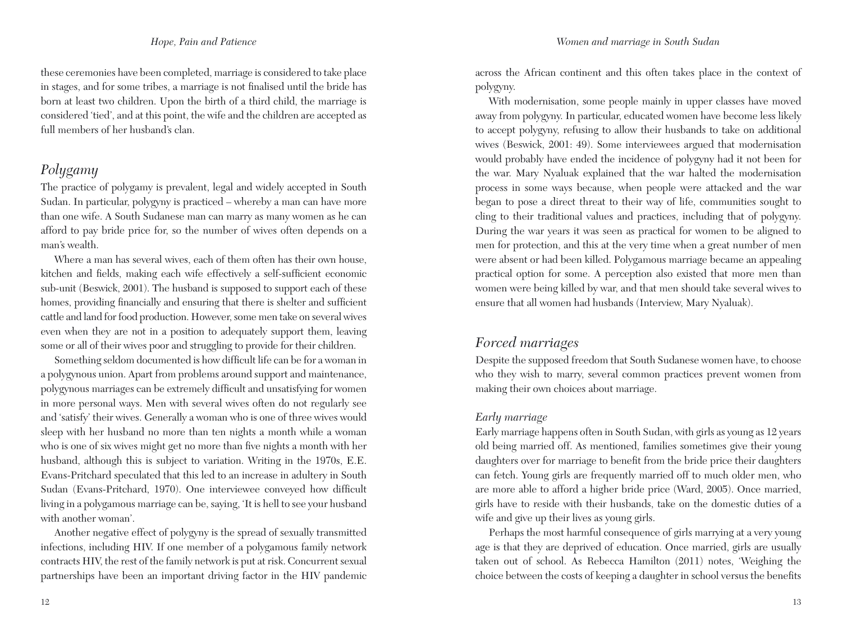these ceremonies have been completed, marriage is considered to take place in stages, and for some tribes, a marriage is not finalised until the bride has born at least two children. Upon the birth of a third child, the marriage is considered 'tied', and at this point, the wife and the children are accepted as full members of her husband's clan.

# *Polygamy*

The practice of polygamy is prevalent, legal and widely accepted in South Sudan. In particular, polygyny is practiced – whereby a man can have more than one wife. A South Sudanese man can marry as many women as he can afford to pay bride price for, so the number of wives often depends on a man's wealth.

Where a man has several wives, each of them often has their own house, kitchen and fields, making each wife effectively a self-sufficient economic sub-unit (Beswick, 2001). The husband is supposed to support each of these homes, providing financially and ensuring that there is shelter and sufficient cattle and land for food production. However, some men take on several wives even when they are not in a position to adequately support them, leaving some or all of their wives poor and struggling to provide for their children.

Something seldom documented is how difficult life can be for a woman in a polygynous union. Apart from problems around support and maintenance, polygynous marriages can be extremely difficult and unsatisfying for women in more personal ways. Men with several wives often do not regularly see and 'satisfy' their wives. Generally a woman who is one of three wives would sleep with her husband no more than ten nights a month while a woman who is one of six wives might get no more than five nights a month with her husband, although this is subject to variation. Writing in the 1970s, E.E. Evans-Pritchard speculated that this led to an increase in adultery in South Sudan (Evans-Pritchard, 1970). One interviewee conveyed how difficult living in a polygamous marriage can be, saying, 'It is hell to see your husband with another woman'.

Another negative effect of polygyny is the spread of sexually transmitted infections, including HIV. If one member of a polygamous family network contracts HIV, the rest of the family network is put at risk. Concurrent sexual partnerships have been an important driving factor in the HIV pandemic across the African continent and this often takes place in the context of polygyny.

With modernisation, some people mainly in upper classes have moved away from polygyny. In particular, educated women have become less likely to accept polygyny, refusing to allow their husbands to take on additional wives (Beswick, 2001: 49). Some interviewees argued that modernisation would probably have ended the incidence of polygyny had it not been for the war. Mary Nyaluak explained that the war halted the modernisation process in some ways because, when people were attacked and the war began to pose a direct threat to their way of life, communities sought to cling to their traditional values and practices, including that of polygyny. During the war years it was seen as practical for women to be aligned to men for protection, and this at the very time when a great number of men were absent or had been killed. Polygamous marriage became an appealing practical option for some. A perception also existed that more men than women were being killed by war, and that men should take several wives to ensure that all women had husbands (Interview, Mary Nyaluak).

# *Forced marriages*

Despite the supposed freedom that South Sudanese women have, to choose who they wish to marry, several common practices prevent women from making their own choices about marriage.

### *Early marriage*

Early marriage happens often in South Sudan, with girls as young as 12 years old being married off. As mentioned, families sometimes give their young daughters over for marriage to benefit from the bride price their daughters can fetch. Young girls are frequently married off to much older men, who are more able to afford a higher bride price (Ward, 2005). Once married, girls have to reside with their husbands, take on the domestic duties of a wife and give up their lives as young girls.

Perhaps the most harmful consequence of girls marrying at a very young age is that they are deprived of education. Once married, girls are usually taken out of school. As Rebecca Hamilton (2011) notes, 'Weighing the choice between the costs of keeping a daughter in school versus the benefits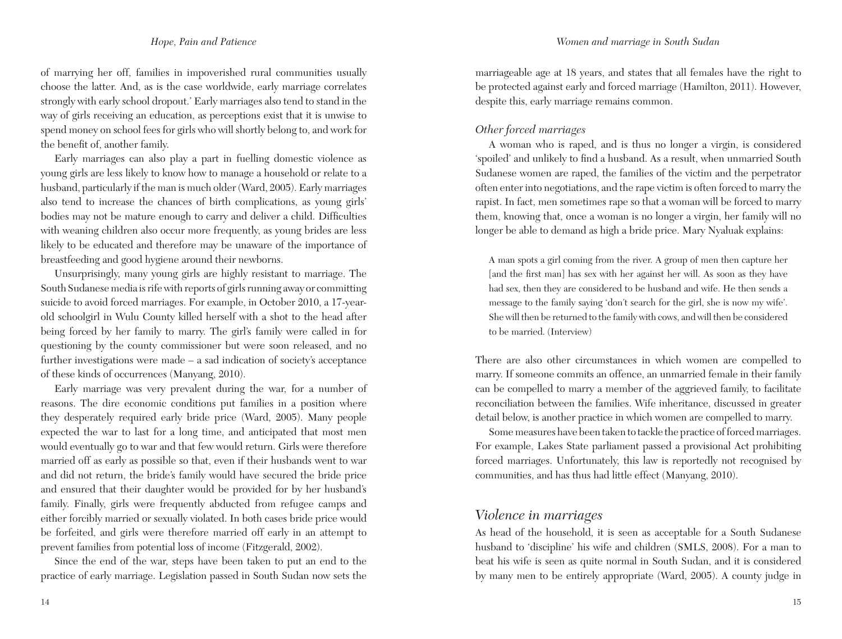of marrying her off, families in impoverished rural communities usually choose the latter. And, as is the case worldwide, early marriage correlates strongly with early school dropout.' Early marriages also tend to stand in the way of girls receiving an education, as perceptions exist that it is unwise to spend money on school fees for girls who will shortly belong to, and work for the benefit of, another family.

Early marriages can also play a part in fuelling domestic violence as young girls are less likely to know how to manage a household or relate to a husband, particularly if the man is much older (Ward, 2005). Early marriages also tend to increase the chances of birth complications, as young girls' bodies may not be mature enough to carry and deliver a child. Difficulties with weaning children also occur more frequently, as young brides are less likely to be educated and therefore may be unaware of the importance of breastfeeding and good hygiene around their newborns.

Unsurprisingly, many young girls are highly resistant to marriage. The South Sudanese media is rife with reports of girls running away or committing suicide to avoid forced marriages. For example, in October 2010, a 17-yearold schoolgirl in Wulu County killed herself with a shot to the head after being forced by her family to marry. The girl's family were called in for questioning by the county commissioner but were soon released, and no further investigations were made – a sad indication of society's acceptance of these kinds of occurrences (Manyang, 2010).

Early marriage was very prevalent during the war, for a number of reasons. The dire economic conditions put families in a position where they desperately required early bride price (Ward, 2005). Many people expected the war to last for a long time, and anticipated that most men would eventually go to war and that few would return. Girls were therefore married off as early as possible so that, even if their husbands went to war and did not return, the bride's family would have secured the bride price and ensured that their daughter would be provided for by her husband's family. Finally, girls were frequently abducted from refugee camps and either forcibly married or sexually violated. In both cases bride price would be forfeited, and girls were therefore married off early in an attempt to prevent families from potential loss of income (Fitzgerald, 2002).

Since the end of the war, steps have been taken to put an end to the practice of early marriage. Legislation passed in South Sudan now sets the marriageable age at 18 years, and states that all females have the right to be protected against early and forced marriage (Hamilton, 2011). However, despite this, early marriage remains common.

### *Other forced marriages*

A woman who is raped, and is thus no longer a virgin, is considered 'spoiled' and unlikely to find a husband. As a result, when unmarried South Sudanese women are raped, the families of the victim and the perpetrator often enter into negotiations, and the rape victim is often forced to marry the rapist. In fact, men sometimes rape so that a woman will be forced to marry them, knowing that, once a woman is no longer a virgin, her family will no longer be able to demand as high a bride price. Mary Nyaluak explains:

A man spots a girl coming from the river. A group of men then capture her [and the first man] has sex with her against her will. As soon as they have had sex, then they are considered to be husband and wife. He then sends a message to the family saying 'don't search for the girl, she is now my wife'. She will then be returned to the family with cows, and will then be considered to be married. (Interview)

There are also other circumstances in which women are compelled to marry. If someone commits an offence, an unmarried female in their family can be compelled to marry a member of the aggrieved family, to facilitate reconciliation between the families. Wife inheritance, discussed in greater detail below, is another practice in which women are compelled to marry.

Some measures have been taken to tackle the practice of forced marriages. For example, Lakes State parliament passed a provisional Act prohibiting forced marriages. Unfortunately, this law is reportedly not recognised by communities, and has thus had little effect (Manyang, 2010).

### *Violence in marriages*

As head of the household, it is seen as acceptable for a South Sudanese husband to 'discipline' his wife and children (SMLS, 2008). For a man to beat his wife is seen as quite normal in South Sudan, and it is considered by many men to be entirely appropriate (Ward, 2005). A county judge in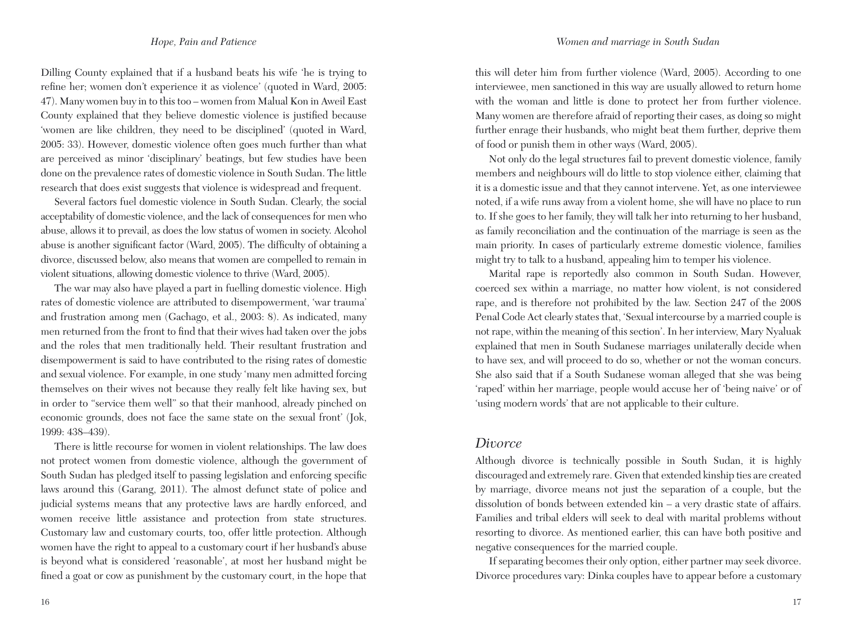Dilling County explained that if a husband beats his wife 'he is trying to refine her; women don't experience it as violence' (quoted in Ward, 2005: 47). Many women buy in to this too *–* women from Malual Kon in Aweil East County explained that they believe domestic violence is justified because 'women are like children, they need to be disciplined' (quoted in Ward, 2005: 33). However, domestic violence often goes much further than what are perceived as minor 'disciplinary' beatings, but few studies have been done on the prevalence rates of domestic violence in South Sudan. The little research that does exist suggests that violence is widespread and frequent.

Several factors fuel domestic violence in South Sudan. Clearly, the social acceptability of domestic violence, and the lack of consequences for men who abuse, allows it to prevail, as does the low status of women in society. Alcohol abuse is another significant factor (Ward, 2005). The difficulty of obtaining a divorce, discussed below, also means that women are compelled to remain in violent situations, allowing domestic violence to thrive (Ward, 2005).

The war may also have played a part in fuelling domestic violence. High rates of domestic violence are attributed to disempowerment, 'war trauma' and frustration among men (Gachago, et al., 2003: 8). As indicated, many men returned from the front to find that their wives had taken over the jobs and the roles that men traditionally held. Their resultant frustration and disempowerment is said to have contributed to the rising rates of domestic and sexual violence. For example, in one study 'many men admitted forcing themselves on their wives not because they really felt like having sex, but in order to "service them well" so that their manhood, already pinched on economic grounds, does not face the same state on the sexual front' (Jok, 1999: 438–439).

There is little recourse for women in violent relationships. The law does not protect women from domestic violence, although the government of South Sudan has pledged itself to passing legislation and enforcing specific laws around this (Garang, 2011). The almost defunct state of police and judicial systems means that any protective laws are hardly enforced, and women receive little assistance and protection from state structures. Customary law and customary courts, too, offer little protection. Although women have the right to appeal to a customary court if her husband's abuse is beyond what is considered 'reasonable', at most her husband might be fined a goat or cow as punishment by the customary court, in the hope that this will deter him from further violence (Ward, 2005). According to one interviewee, men sanctioned in this way are usually allowed to return home with the woman and little is done to protect her from further violence. Many women are therefore afraid of reporting their cases, as doing so might further enrage their husbands, who might beat them further, deprive them of food or punish them in other ways (Ward, 2005).

Not only do the legal structures fail to prevent domestic violence, family members and neighbours will do little to stop violence either, claiming that it is a domestic issue and that they cannot intervene. Yet, as one interviewee noted, if a wife runs away from a violent home, she will have no place to run to. If she goes to her family, they will talk her into returning to her husband, as family reconciliation and the continuation of the marriage is seen as the main priority. In cases of particularly extreme domestic violence, families might try to talk to a husband, appealing him to temper his violence.

Marital rape is reportedly also common in South Sudan. However, coerced sex within a marriage, no matter how violent, is not considered rape, and is therefore not prohibited by the law. Section 247 of the 2008 Penal Code Act clearly states that, 'Sexual intercourse by a married couple is not rape, within the meaning of this section'. In her interview, Mary Nyaluak explained that men in South Sudanese marriages unilaterally decide when to have sex, and will proceed to do so, whether or not the woman concurs. She also said that if a South Sudanese woman alleged that she was being 'raped' within her marriage, people would accuse her of 'being naive' or of 'using modern words' that are not applicable to their culture.

### *Divorce*

Although divorce is technically possible in South Sudan, it is highly discouraged and extremely rare. Given that extended kinship ties are created by marriage, divorce means not just the separation of a couple, but the dissolution of bonds between extended kin – a very drastic state of affairs. Families and tribal elders will seek to deal with marital problems without resorting to divorce. As mentioned earlier, this can have both positive and negative consequences for the married couple.

If separating becomes their only option, either partner may seek divorce. Divorce procedures vary: Dinka couples have to appear before a customary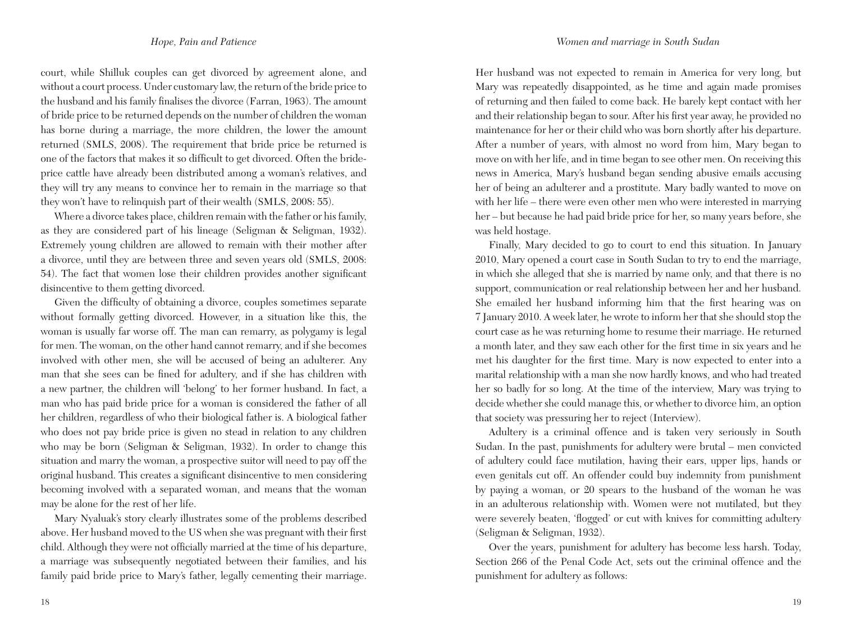court, while Shilluk couples can get divorced by agreement alone, and without a court process. Under customary law, the return of the bride price to the husband and his family finalises the divorce (Farran, 1963). The amount of bride price to be returned depends on the number of children the woman has borne during a marriage, the more children, the lower the amount returned (SMLS, 2008). The requirement that bride price be returned is one of the factors that makes it so difficult to get divorced. Often the brideprice cattle have already been distributed among a woman's relatives, and they will try any means to convince her to remain in the marriage so that they won't have to relinquish part of their wealth (SMLS, 2008: 55).

Where a divorce takes place, children remain with the father or his family, as they are considered part of his lineage (Seligman & Seligman, 1932). Extremely young children are allowed to remain with their mother after a divorce, until they are between three and seven years old (SMLS, 2008: 54). The fact that women lose their children provides another significant disincentive to them getting divorced.

Given the difficulty of obtaining a divorce, couples sometimes separate without formally getting divorced. However, in a situation like this, the woman is usually far worse off. The man can remarry, as polygamy is legal for men. The woman, on the other hand cannot remarry, and if she becomes involved with other men, she will be accused of being an adulterer. Any man that she sees can be fined for adultery, and if she has children with a new partner, the children will 'belong' to her former husband. In fact, a man who has paid bride price for a woman is considered the father of all her children, regardless of who their biological father is. A biological father who does not pay bride price is given no stead in relation to any children who may be born (Seligman & Seligman, 1932). In order to change this situation and marry the woman, a prospective suitor will need to pay off the original husband. This creates a significant disincentive to men considering becoming involved with a separated woman, and means that the woman may be alone for the rest of her life.

Mary Nyaluak's story clearly illustrates some of the problems described above. Her husband moved to the US when she was pregnant with their first child. Although they were not officially married at the time of his departure, a marriage was subsequently negotiated between their families, and his family paid bride price to Mary's father, legally cementing their marriage.

Her husband was not expected to remain in America for very long, but Mary was repeatedly disappointed, as he time and again made promises of returning and then failed to come back. He barely kept contact with her and their relationship began to sour. After his first year away, he provided no maintenance for her or their child who was born shortly after his departure. After a number of years, with almost no word from him, Mary began to move on with her life, and in time began to see other men. On receiving this news in America, Mary's husband began sending abusive emails accusing her of being an adulterer and a prostitute. Mary badly wanted to move on with her life – there were even other men who were interested in marrying her – but because he had paid bride price for her, so many years before, she was held hostage.

Finally, Mary decided to go to court to end this situation. In January 2010, Mary opened a court case in South Sudan to try to end the marriage, in which she alleged that she is married by name only, and that there is no support, communication or real relationship between her and her husband. She emailed her husband informing him that the first hearing was on 7 January 2010. A week later, he wrote to inform her that she should stop the court case as he was returning home to resume their marriage. He returned a month later, and they saw each other for the first time in six years and he met his daughter for the first time. Mary is now expected to enter into a marital relationship with a man she now hardly knows, and who had treated her so badly for so long. At the time of the interview, Mary was trying to decide whether she could manage this, or whether to divorce him, an option that society was pressuring her to reject (Interview).

Adultery is a criminal offence and is taken very seriously in South Sudan. In the past, punishments for adultery were brutal – men convicted of adultery could face mutilation, having their ears, upper lips, hands or even genitals cut off. An offender could buy indemnity from punishment by paying a woman, or 20 spears to the husband of the woman he was in an adulterous relationship with. Women were not mutilated, but they were severely beaten, 'flogged' or cut with knives for committing adultery (Seligman & Seligman, 1932).

Over the years, punishment for adultery has become less harsh. Today, Section 266 of the Penal Code Act, sets out the criminal offence and the punishment for adultery as follows: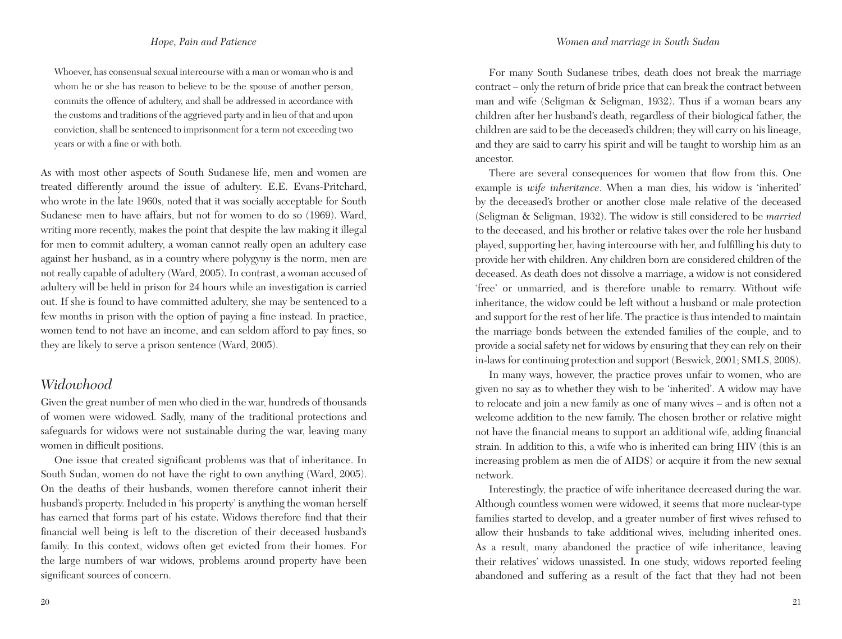Whoever, has consensual sexual intercourse with a man or woman who is and whom he or she has reason to believe to be the spouse of another person, commits the offence of adultery, and shall be addressed in accordance with the customs and traditions of the aggrieved party and in lieu of that and upon conviction, shall be sentenced to imprisonment for a term not exceeding two years or with a fine or with both.

As with most other aspects of South Sudanese life, men and women are treated differently around the issue of adultery. E.E. Evans-Pritchard, who wrote in the late 1960s, noted that it was socially acceptable for South Sudanese men to have affairs, but not for women to do so (1969). Ward, writing more recently, makes the point that despite the law making it illegal for men to commit adultery, a woman cannot really open an adultery case against her husband, as in a country where polygyny is the norm, men are not really capable of adultery (Ward, 2005). In contrast, a woman accused of adultery will be held in prison for 24 hours while an investigation is carried out. If she is found to have committed adultery, she may be sentenced to a few months in prison with the option of paying a fine instead. In practice, women tend to not have an income, and can seldom afford to pay fines, so they are likely to serve a prison sentence (Ward, 2005).

# *Widowhood*

Given the great number of men who died in the war, hundreds of thousands of women were widowed. Sadly, many of the traditional protections and safeguards for widows were not sustainable during the war, leaving many women in difficult positions.

One issue that created significant problems was that of inheritance. In South Sudan, women do not have the right to own anything (Ward, 2005). On the deaths of their husbands, women therefore cannot inherit their husband's property. Included in 'his property' is anything the woman herself has earned that forms part of his estate. Widows therefore find that their financial well being is left to the discretion of their deceased husband's family. In this context, widows often get evicted from their homes. For the large numbers of war widows, problems around property have been significant sources of concern.

For many South Sudanese tribes, death does not break the marriage contract – only the return of bride price that can break the contract between man and wife (Seligman & Seligman, 1932). Thus if a woman bears any children after her husband's death, regardless of their biological father, the children are said to be the deceased's children; they will carry on his lineage, and they are said to carry his spirit and will be taught to worship him as an ancestor.

There are several consequences for women that flow from this. One example is *wife inheritance*. When a man dies, his widow is 'inherited' by the deceased's brother or another close male relative of the deceased (Seligman & Seligman, 1932). The widow is still considered to be *married* to the deceased, and his brother or relative takes over the role her husband played, supporting her, having intercourse with her, and fulfilling his duty to provide her with children. Any children born are considered children of the deceased. As death does not dissolve a marriage, a widow is not considered 'free' or unmarried, and is therefore unable to remarry. Without wife inheritance, the widow could be left without a husband or male protection and support for the rest of her life. The practice is thus intended to maintain the marriage bonds between the extended families of the couple, and to provide a social safety net for widows by ensuring that they can rely on their in-laws for continuing protection and support (Beswick, 2001; SMLS, 2008).

In many ways, however, the practice proves unfair to women, who are given no say as to whether they wish to be 'inherited'. A widow may have to relocate and join a new family as one of many wives – and is often not a welcome addition to the new family. The chosen brother or relative might not have the financial means to support an additional wife, adding financial strain. In addition to this, a wife who is inherited can bring HIV (this is an increasing problem as men die of AIDS) or acquire it from the new sexual network.

Interestingly, the practice of wife inheritance decreased during the war. Although countless women were widowed, it seems that more nuclear-type families started to develop, and a greater number of first wives refused to allow their husbands to take additional wives, including inherited ones. As a result, many abandoned the practice of wife inheritance, leaving their relatives' widows unassisted. In one study, widows reported feeling abandoned and suffering as a result of the fact that they had not been